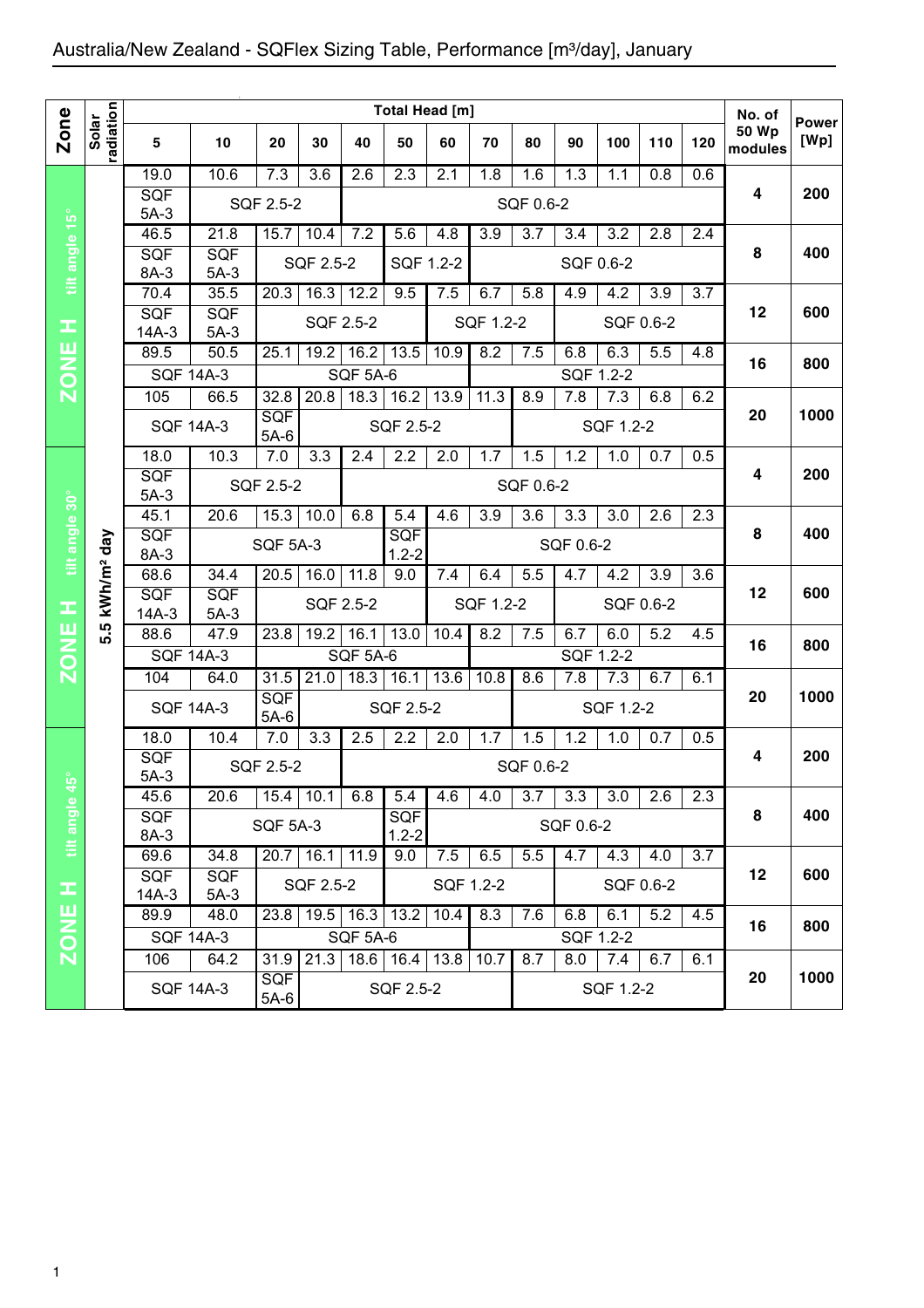## Australia/New Zealand - SQFlex Sizing Table, Performance [m3/day], January

|                |                        |                  |                  |                      | Total Head [m]   |                 |                                                             |           |           |           |           | No. of    |           |     |                         |                      |
|----------------|------------------------|------------------|------------------|----------------------|------------------|-----------------|-------------------------------------------------------------|-----------|-----------|-----------|-----------|-----------|-----------|-----|-------------------------|----------------------|
| Zone           | radiation<br>Solar     | 5                | 10               | 20                   | 30               | 40              | 50                                                          | 60        | 70        | 80        | 90        | 100       | 110       | 120 | <b>50 Wp</b><br>modules | <b>Power</b><br>[Wp] |
|                |                        | 19.0             | 10.6             | 7.3                  | 3.6              | 2.6             | 2.3                                                         | 2.1       | 1.8       | 1.6       | 1.3       | 1.1       | 0.8       | 0.6 |                         |                      |
| tilt angle 15° |                        | SQF              |                  | SQF 2.5-2            |                  |                 |                                                             |           |           | SQF 0.6-2 |           |           |           |     | 4                       | 200                  |
|                |                        | $5A-3$<br>46.5   | 21.8             | 15.7                 | 10.4             |                 | 7.2<br>5.6<br>4.8<br>3.9<br>3.7<br>3.2<br>2.8<br>3.4<br>2.4 |           |           |           |           |           |           |     |                         |                      |
|                |                        | SQF              | <b>SQF</b>       |                      |                  |                 |                                                             |           |           |           |           |           |           |     | 8                       | 400                  |
|                |                        | 8A-3             | $5A-3$           |                      | SQF 2.5-2        |                 | SQF 1.2-2                                                   |           |           |           |           | SQF 0.6-2 |           |     |                         |                      |
|                |                        | 70.4             | 35.5             | 20.3                 | 16.3             | 12.2            | 9.5                                                         | 7.5       | 6.7       | 5.8       | 4.9       | 4.2       | 3.9       | 3.7 |                         |                      |
|                |                        | SQF              | <b>SQF</b>       |                      | SQF 2.5-2        |                 |                                                             |           | SQF 1.2-2 |           |           | SQF 0.6-2 |           |     | 12                      | 600                  |
| œ              |                        | $14A-3$          | $5A-3$           |                      |                  |                 |                                                             |           |           |           |           |           |           |     |                         |                      |
| <b>ZONE</b>    |                        | 89.5             | 50.5             | 25.1                 | 19.2             | 16.2            | 13.5                                                        | 10.9      | 8.2       | 7.5       | 6.8       | 6.3       | 5.5       | 4.8 | 16                      | 800                  |
|                |                        | <b>SQF 14A-3</b> |                  |                      |                  | <b>SQF 5A-6</b> |                                                             |           |           |           |           | SQF 1.2-2 |           |     |                         |                      |
|                |                        | 105              | 66.5             | 32.8<br>SQF          | 20.8             | 18.3            | 16.2                                                        | 13.9      | 11.3      | 8.9       | 7.8       | 7.3       | 6.8       | 6.2 | 20                      | 1000                 |
|                |                        |                  | <b>SQF 14A-3</b> | $5A-6$               |                  |                 | SQF 2.5-2                                                   |           |           |           |           | SQF 1.2-2 |           |     |                         |                      |
| tilt angle 30° | kWh/m <sup>2</sup> day | 18.0             | 10.3             | 7.0                  | 3.3              | 2.4             | 2.2                                                         | 2.0       | 1.7       | 1.5       | 1.2       | 1.0       | 0.7       | 0.5 |                         |                      |
|                |                        | SQF              |                  | SQF 2.5-2            |                  |                 |                                                             |           | 4         | 200       |           |           |           |     |                         |                      |
|                |                        | $5A-3$           |                  |                      |                  |                 |                                                             |           |           | SQF 0.6-2 |           |           |           |     |                         |                      |
|                |                        | 45.1             | 20.6             | 15.3                 | 10.0             | 6.8             | 5.4                                                         | 4.6       | 3.9       | 3.6       | 3.3       | 3.0       | 2.6       | 2.3 | 8                       |                      |
|                |                        | SQF<br>8A-3      |                  | <b>SQF 5A-3</b>      |                  |                 | SQF<br>$1.2 - 2$                                            |           |           |           |           | SQF 0.6-2 |           |     |                         | 400                  |
|                |                        | 68.6             | 34.4             | 20.5                 | 16.0             | 11.8            | 9.0                                                         | 7.4       | 6.4       | 5.5       | 4.7       | 4.2       | 3.9       | 3.6 |                         |                      |
|                |                        | <b>SQF</b>       | <b>SQF</b>       |                      |                  | SQF 2.5-2       |                                                             |           | SQF 1.2-2 |           |           |           | SQF 0.6-2 |     | 12                      | 600                  |
| œ              | ιņ                     | $14A-3$          | $5A-3$           |                      |                  |                 |                                                             |           |           |           |           |           |           |     |                         |                      |
| <b>ZONE</b>    | ທ່                     | 88.6             | 47.9             | 23.8                 | 19.2             | 16.1            | 13.0                                                        | 10.4      | 8.2       | 7.5       | 6.7       | 6.0       | 5.2       | 4.5 | 16                      | 800                  |
|                |                        | <b>SQF 14A-3</b> |                  |                      |                  | <b>SQF 5A-6</b> |                                                             |           |           | SQF 1.2-2 |           |           |           |     |                         |                      |
|                |                        | 104              | 64.0             | 31.5                 | 21.0             | 18.3            | 16.1                                                        | 13.6      | 10.8      | 8.6       | 7.8       | 7.3       | 6.7       | 6.1 |                         |                      |
|                |                        |                  | <b>SQF 14A-3</b> | SQF<br>$5A-6$        |                  |                 | SQF 2.5-2                                                   |           | SQF 1.2-2 |           |           |           |           |     | 20                      | 1000                 |
|                |                        | 18.0             | 10.4             | 7.0                  | 3.3              | 2.5             | 2.2                                                         | 2.0       | 1.7       | 1.5       | 1.2       | 1.0       | 0.7       | 0.5 |                         |                      |
|                |                        | SQF              |                  |                      |                  | SQF 0.6-2       |                                                             |           |           |           |           |           |           | 4   | 200                     |                      |
|                |                        | $5A-3$           |                  | SQF 2.5-2            |                  |                 |                                                             |           |           |           |           |           |           |     |                         |                      |
|                |                        | 45.6             | 20.6             |                      | $15.4$   10.1    | 6.8             | 5.4                                                         | 4.6       | 4.0       | 3.7       | 3.3       | 3.0       | 2.6       | 2.3 |                         |                      |
|                |                        | <b>SQF</b>       |                  | <b>SQF 5A-3</b>      |                  |                 | <b>SQF</b>                                                  |           |           |           | SQF 0.6-2 |           |           |     | 8                       | 400                  |
| tilt angle 45° |                        | 8A-3<br>69.6     | 34.8             |                      | $20.7$ 16.1 11.9 |                 | $1.2 - 2$<br>9.0                                            | 7.5       | 6.5       | 5.5       | 4.7       | 4.3       | 4.0       | 3.7 |                         |                      |
|                |                        | <b>SQF</b>       | <b>SQF</b>       |                      |                  |                 |                                                             |           |           |           |           |           |           |     | 12                      | 600                  |
| Ŧ              |                        | $14A-3$          | $5A-3$           |                      | SQF 2.5-2        |                 |                                                             | SQF 1.2-2 |           |           |           | SQF 0.6-2 |           |     |                         |                      |
|                |                        | 89.9             | 48.0             | 23.8                 |                  | $19.5$ 16.3     | 13.2                                                        | 10.4      | 8.3       | 7.6       | 6.8       | 6.1       | 5.2       | 4.5 |                         |                      |
| <b>ZONE</b>    |                        |                  | <b>SQF 14A-3</b> |                      |                  | <b>SQF 5A-6</b> |                                                             |           |           |           | SQF 1.2-2 |           |           |     | 16                      | 800                  |
|                |                        | 106              | 64.2             | 31.9                 | 21.3             |                 | $18.6$ 16.4 13.8                                            |           | 10.7      | 8.7       | 8.0       | 7.4       | 6.7       | 6.1 |                         |                      |
|                |                        |                  | <b>SQF 14A-3</b> | <b>SQF</b><br>$5A-6$ |                  |                 | SQF 2.5-2                                                   |           |           |           |           | SQF 1.2-2 |           |     | 20                      | 1000                 |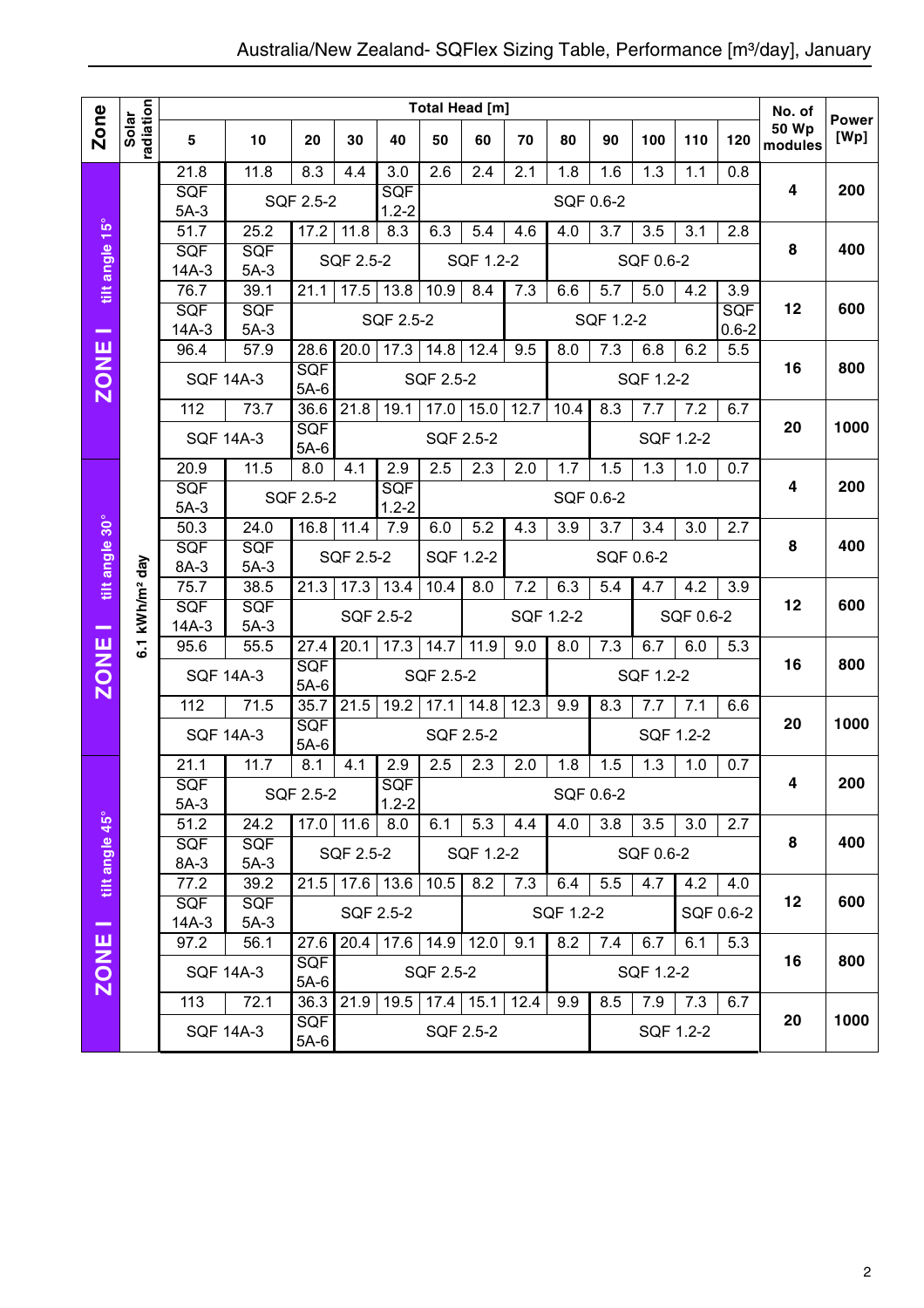|                |                            | Total Head [m]             |                  |                            |           |                             |                   |                  |                  |                  |                  |           | No. of           | <b>Power</b>     |                         |      |
|----------------|----------------------------|----------------------------|------------------|----------------------------|-----------|-----------------------------|-------------------|------------------|------------------|------------------|------------------|-----------|------------------|------------------|-------------------------|------|
| Zone           | radiation<br>Solar         | 5                          | 10               | 20                         | 30        | 40                          | 50                | 60               | 70               | 80               | 90               | 100       | 110              | 120              | <b>50 Wp</b><br>modules | [Wp] |
|                |                            | 21.8                       | 11.8             | 8.3                        | 4.4       | $\overline{3.0}$            | $\overline{2.6}$  | $\overline{2.4}$ | $\overline{2.1}$ | 1.8              | 1.6              | 1.3       | 1.1              | 0.8              |                         |      |
|                |                            | SQF<br>$5A-3$              |                  | SQF 2.5-2                  |           | SQF<br>$1.2 - 2$            |                   |                  |                  |                  | SQF 0.6-2        |           |                  |                  | 4                       | 200  |
|                |                            | 51.7                       | 25.2             | 17.2                       | 11.8      | 8.3                         | 6.3               | 5.4              | 4.6              | 4.0              | 3.7              | 3.5       | 3.1              | 2.8              |                         |      |
|                |                            | SQF                        | SQF              |                            |           |                             |                   |                  |                  |                  |                  |           |                  |                  | 8                       | 400  |
| tilt angle 15° |                            | $14A-3$                    | $5A-3$           |                            | SQF 2.5-2 | SQF 1.2-2                   |                   |                  |                  | SQF 0.6-2        |                  |           |                  |                  |                         |      |
|                |                            | 76.7                       | 39.1             | 21.1                       | 17.5      | 13.8                        | 10.9              | 8.4              | 7.3              | 6.6              | 5.7              | 5.0       | 4.2              | 3.9<br>SQF       |                         |      |
| -              |                            | SQF<br>$14A-3$             | SQF<br>$5A-3$    |                            |           | SQF 2.5-2                   |                   |                  |                  |                  | SQF 1.2-2        | 12        | 600              |                  |                         |      |
|                |                            | 96.4                       | 57.9             | 28.6                       | 20.0      | 17.3                        | 14.8              | 12.4             | 9.5              | 8.0              | $\overline{7.3}$ | 6.8       | 6.2              | $0.6 - 2$<br>5.5 |                         |      |
| <b>ZONE</b>    |                            | <b>SQF 14A-3</b>           |                  | SQF                        |           |                             | SQF 2.5-2         |                  |                  |                  |                  | SQF 1.2-2 |                  |                  | 16                      | 800  |
|                |                            |                            |                  | $5A-6$                     |           |                             |                   |                  |                  |                  |                  |           |                  |                  |                         |      |
|                |                            | 112                        | 73.7             | 36.6<br>SQF                | 21.8      | 19.1                        | 17.0              | 15.0             | 12.7             | 10.4             | 8.3              | 7.7       | 7.2              | 6.7              | 20                      | 1000 |
|                |                            |                            | <b>SQF 14A-3</b> | <b>SQF 2.5-2</b><br>$5A-6$ |           |                             |                   |                  |                  | SQF 1.2-2        |                  |           |                  |                  |                         |      |
|                |                            | 20.9                       | 11.5             | 8.0                        | 4.1       | 2.9                         | 2.5               | 2.3              | 2.0              | 1.7              | 1.5              | 1.3       | 1.0              | 0.7              |                         |      |
|                |                            | <b>SQF</b>                 |                  | SQF 2.5-2                  |           | SQF                         |                   |                  |                  |                  | SQF 0.6-2        | 4         | 200              |                  |                         |      |
|                |                            | $5A-3$<br>$\frac{1}{50.3}$ | 24.0             | 16.8                       | 11.4      | $1.2 - 2$<br>7.9            | 6.0               | 5.2              | 4.3              | 3.9              | 3.7              | 3.4       | $\overline{3.0}$ | 2.7              |                         |      |
|                |                            | SQF                        | SQF              |                            |           |                             |                   |                  |                  |                  |                  |           |                  |                  | 8                       | 400  |
|                |                            | 8A-3                       | $5A-3$           |                            | SQF 2.5-2 |                             |                   | SQF 1.2-2        |                  |                  |                  | SQF 0.6-2 |                  |                  |                         |      |
| tilt angle 30° |                            | 75.7                       | 38.5             | 21.3                       | 17.3      | 13.4                        | 10.4              | 8.0              | 7.2              | 6.3              | 5.4              | 4.7       | 4.2              | 3.9              |                         |      |
|                | 6.1 kWh/m <sup>2</sup> day | SQF<br>$14A-3$             | SQF<br>$5A-3$    |                            |           | SQF 2.5-2                   |                   |                  |                  | SQF 1.2-2        |                  | SQF 0.6-2 |                  |                  | 12                      | 600  |
| -              |                            | 95.6                       | 55.5             | 27.4                       | 20.1      | 17.3                        | 14.7              | 11.9             | 9.0              | $\overline{8.0}$ | 7.3              | 6.7       | 6.0              | 5.3              |                         |      |
| <b>ZONE</b>    |                            |                            | <b>SQF 14A-3</b> | <b>SQF</b>                 |           |                             | SQF 2.5-2         |                  |                  |                  |                  | SQF 1.2-2 |                  |                  | 16                      | 800  |
|                |                            |                            |                  | $5A-6$                     |           |                             |                   |                  |                  |                  |                  |           |                  |                  |                         |      |
|                |                            | 112                        | 71.5             | 35.7                       | 21.5      | 19.2                        | 17.1              | 14.8             | 12.3             | 9.9              | 8.3              | 7.7       | 7.1              | 6.6              |                         |      |
|                |                            |                            | <b>SQF 14A-3</b> | SQF<br>$5A-6$              |           |                             |                   | SQF 2.5-2        |                  |                  |                  | SQF 1.2-2 |                  | 20               | 1000                    |      |
|                |                            | 21.1                       | 11.7             | 8.1                        | 4.1       | 2.9                         | 2.5               | 2.3              | 2.0              | 1.8              | 1.5              | 1.3       | 1.0              | 0.7              |                         |      |
|                |                            | SQF                        |                  | SQF 2.5-2                  |           | <b>SQF</b>                  |                   |                  |                  |                  | SQF 0.6-2        |           |                  |                  | 4                       | 200  |
|                |                            | $5A-3$                     |                  |                            |           | $1.2 - 2$                   |                   |                  |                  |                  |                  |           |                  |                  |                         |      |
|                |                            | 51.2<br>SQF                | 24.2<br>SQF      | $17.0$ 11.6                |           | 8.0                         | 6.1               | 5.3              | 4.4              | 4.0              | 3.8              | 3.5       | 3.0              | 2.7              | 8                       | 400  |
| tilt angle 45° |                            | 8A-3                       | $5A-3$           |                            | SQF 2.5-2 |                             |                   | SQF 1.2-2        |                  |                  |                  | SQF 0.6-2 |                  |                  |                         |      |
|                |                            | 77.2                       | 39.2             |                            |           | $21.5$ 17.6 13.6            | $\overline{10.5}$ | 8.2              | 7.3              | 6.4              | 5.5              | 4.7       | 4.2              | 4.0              |                         |      |
|                |                            | SQF                        | <b>SQF</b>       |                            |           | SQF 2.5-2                   |                   |                  |                  | SQF 1.2-2        |                  |           |                  | SQF 0.6-2        | 12                      | 600  |
| -              |                            | $14A-3$<br>97.2            | $5A-3$<br>56.1   | 27.6                       |           | $20.4$   17.6   14.9   12.0 |                   |                  | 9.1              | 8.2              | 7.4              | 6.7       | 6.1              | 5.3              |                         |      |
|                |                            |                            |                  | <b>SQF</b>                 |           |                             |                   |                  |                  |                  |                  |           |                  |                  | 16                      | 800  |
| <b>ZONE</b>    |                            |                            | <b>SQF 14A-3</b> | $5A-6$                     |           |                             | SQF 2.5-2         |                  |                  |                  |                  | SQF 1.2-2 |                  |                  |                         |      |
|                |                            | 113                        | 72.1             | 36.3                       | 21.9      | 19.5                        | $17.4$ 15.1       |                  | 12.4             | 9.9              | 8.5              | 7.9       | 7.3              | 6.7              |                         |      |
|                |                            |                            | <b>SQF 14A-3</b> | <b>SQF</b><br>$5A-6$       |           |                             |                   | SQF 2.5-2        |                  |                  |                  |           | SQF 1.2-2        |                  | 20                      | 1000 |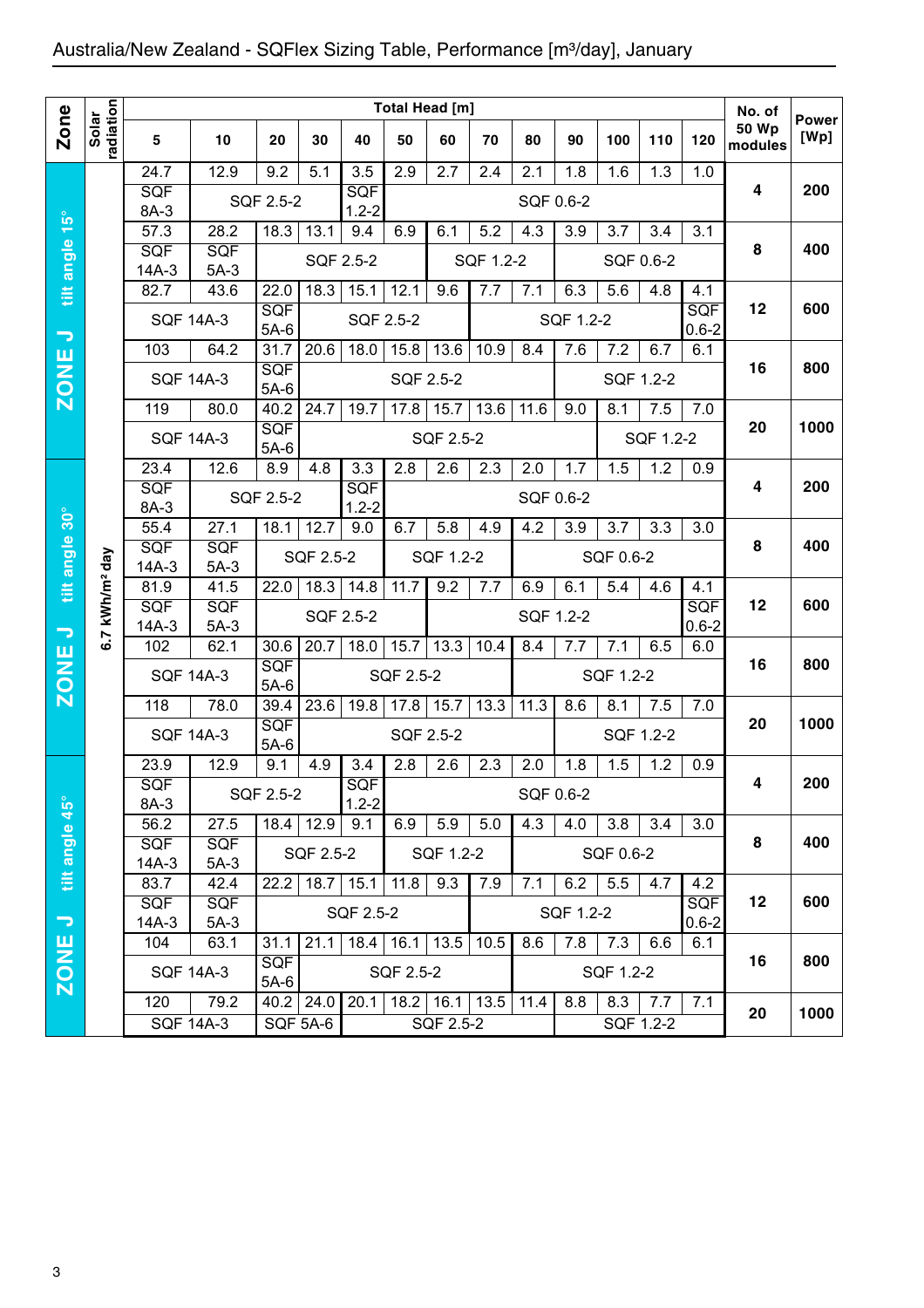## Australia/New Zealand - SQFlex Sizing Table, Performance [m3/day], January

|                              |                        | Total Head [m]        |                              |                                                                    |                                                                          |                         |                   |                                               |           |           |                          |           |           | No. of                  |                         |                      |
|------------------------------|------------------------|-----------------------|------------------------------|--------------------------------------------------------------------|--------------------------------------------------------------------------|-------------------------|-------------------|-----------------------------------------------|-----------|-----------|--------------------------|-----------|-----------|-------------------------|-------------------------|----------------------|
| <b>Zone</b>                  | radiation<br>Solar     | 5                     | 10                           | 20                                                                 | 30                                                                       | 40                      | 50                | 60                                            | 70        | 80        | 90                       | 100       | 110       | 120                     | <b>50 Wp</b><br>modules | <b>Power</b><br>[Wp] |
|                              |                        | 24.7                  | 12.9                         | 9.2                                                                | 5.1                                                                      | 3.5                     | 2.9               | 2.7                                           | 2.4       | 2.1       | 1.8                      | 1.6       | 1.3       | 1.0                     |                         |                      |
|                              |                        | <b>SQF</b><br>8A-3    |                              | SQF 2.5-2                                                          |                                                                          | <b>SQF</b><br>$1.2 - 2$ |                   |                                               |           | SQF 0.6-2 |                          |           |           |                         | 4                       | 200                  |
| $15^{\circ}$                 |                        | $\overline{57.3}$     | 28.2                         | 18.3                                                               | 13.1                                                                     | 9.4                     | 6.9               | 6.1<br>5.2<br>4.3<br>3.9<br>3.7<br>3.4<br>3.1 |           |           |                          |           |           |                         |                         |                      |
| tilt angle                   |                        | <b>SQF</b><br>$14A-3$ | <b>SQF</b><br>$5A-3$         |                                                                    |                                                                          | SQF 2.5-2               |                   |                                               | SQF 1.2-2 |           |                          |           | SQF 0.6-2 |                         | 8                       | 400                  |
|                              |                        | 82.7                  | 43.6                         | 22.0                                                               | 18.3                                                                     | 15.1                    | 12.1              | 9.6                                           | 7.7       | 7.1       | 6.3                      | 5.6       | 4.8       | 4.1                     |                         |                      |
| $\overline{\phantom{a}}$     |                        | <b>SQF 14A-3</b>      |                              | SQF<br>$5A-6$                                                      |                                                                          | SQF 2.5-2               |                   |                                               |           |           | SQF 1.2-2                |           |           | <b>SQF</b><br>$0.6 - 2$ | 12                      | 600                  |
|                              |                        | 103                   | 64.2                         | $31.\overline{7}$                                                  | 20.6                                                                     | 18.0                    | 15.8              | 13.6                                          | 10.9      | 8.4       | 7.6                      | 7.2       | 6.7       | 6.1                     |                         | 800                  |
| <b>ZONE</b>                  |                        | <b>SQF 14A-3</b>      |                              | <b>SQF</b><br>SQF 2.5-2<br>$5A-6$                                  |                                                                          |                         |                   |                                               |           |           |                          |           | SQF 1.2-2 |                         | 16                      |                      |
|                              |                        | 119                   | 80.0                         | 40.2                                                               | 24.7                                                                     | 19.7                    | 17.8              | 15.7                                          | 13.6      | 11.6      | 9.0                      | 8.1       | 7.5       | 7.0                     |                         |                      |
|                              |                        | <b>SQF 14A-3</b>      |                              | SQF<br>$5A-6$                                                      | SQF 2.5-2                                                                |                         |                   |                                               |           |           |                          | SQF 1.2-2 |           | 20                      | 1000                    |                      |
|                              |                        | 23.4                  | 12.6                         | 8.9                                                                | 4.8                                                                      | 3.3                     | 2.8               | 2.6                                           | 2.3       | 2.0       | 1.7                      | 1.5       | 1.2       | 0.9                     |                         |                      |
|                              |                        | <b>SQF</b>            |                              | SQF 2.5-2                                                          |                                                                          | <b>SQF</b>              | SQF 0.6-2         |                                               |           |           |                          | 4         | 200       |                         |                         |                      |
| tilt angle 30°               | kWh/m <sup>2</sup> day | 8A-3<br>55.4          | 18.1                         | $1.2 - 2$<br>12.7<br>5.8<br>3.9<br>3.7<br>9.0<br>6.7<br>4.9<br>4.2 |                                                                          |                         |                   |                                               |           |           |                          | 3.3       | 3.0       |                         |                         |                      |
|                              |                        | <b>SQF</b><br>$14A-3$ | 27.1<br><b>SQF</b><br>$5A-3$ |                                                                    | SQF 2.5-2<br>SQF 1.2-2<br>SQF 0.6-2                                      |                         |                   |                                               |           |           |                          |           | 8         | 400                     |                         |                      |
|                              |                        | 41.5<br>81.9          |                              | 22.0                                                               | 18.3                                                                     | 14.8                    | 11.7              | 9.2                                           | 7.7       | 6.9       | 6.1                      | 5.4       | 4.6       | 4.1                     |                         |                      |
|                              |                        | <b>SQF</b>            | <b>SQF</b>                   |                                                                    |                                                                          | SQF 2.5-2               |                   |                                               |           | SQF 1.2-2 |                          |           |           | SQF                     | 12                      | 600                  |
| $\Rightarrow$<br><b>ZONE</b> | 6.7                    | $14A-3$<br>102        | $5A-3$<br>62.1               | 30.6                                                               | 20.7                                                                     | 18.0                    | 15.7              | 13.3                                          | 10.4      | 8.4       | 7.7                      | 7.1       | 6.5       | $0.6 - 2$<br>6.0        |                         |                      |
|                              |                        | <b>SQF 14A-3</b>      |                              | <b>SQF</b>                                                         |                                                                          |                         | SQF 2.5-2         |                                               |           |           |                          | SQF 1.2-2 |           |                         | 16                      | 800                  |
|                              |                        |                       |                              | $5A-6$                                                             | 19.8<br>15.7<br>13.3<br>11.3<br>23.6<br>17.8<br>8.6<br>8.1<br>7.5<br>7.0 |                         |                   |                                               |           |           |                          |           |           |                         |                         |                      |
|                              |                        | 118                   | 78.0                         | 39.4<br>SQF                                                        |                                                                          |                         |                   |                                               |           |           |                          |           | 20        | 1000                    |                         |                      |
|                              |                        | <b>SQF 14A-3</b>      |                              | $5A-6$                                                             |                                                                          |                         |                   | SQF 2.5-2                                     |           |           |                          | SQF 1.2-2 |           |                         |                         |                      |
|                              |                        | 23.9<br>SQF           | 12.9                         | 9.1                                                                | 4.9                                                                      | 3.4<br>SQF              | 2.8               | 2.6                                           | 2.3       | 2.0       | 1.8                      | 1.5       | 1.2       | 0.9                     |                         | 200                  |
| $45^\circ$                   |                        | 8A-3                  |                              | SQF 2.5-2                                                          |                                                                          | $1.2 - 2$               |                   |                                               |           | SQF 0.6-2 |                          |           |           |                         |                         |                      |
|                              |                        | 56.2<br>27.5          |                              |                                                                    | $18.4$ 12.9                                                              | 9.1                     | 6.9<br>5.9<br>5.0 |                                               |           | 4.3       | 3.8<br>4.0<br>3.4<br>3.0 |           |           |                         |                         |                      |
| tilt angle                   |                        | <b>SQF</b><br>$14A-3$ | <b>SQF</b><br>$5A-3$         |                                                                    | SQF 2.5-2                                                                |                         |                   | SQF 1.2-2                                     |           |           | SQF 0.6-2                | 8         | 400       |                         |                         |                      |
|                              |                        | 83.7                  | 42.4                         | 22.2                                                               |                                                                          | $18.7$ 15.1             | 11.8              | 9.3<br>7.1<br>7.9                             |           |           | 6.2                      | 5.5       | 4.2       |                         |                         |                      |
| $\overline{\phantom{m}}$     |                        | <b>SQF</b><br>$14A-3$ | <b>SQF</b><br>$5A-3$         |                                                                    |                                                                          | SQF 2.5-2               |                   |                                               |           |           | SQF 1.2-2                |           |           | <b>SQF</b><br>$0.6 - 2$ | 12                      | 600                  |
|                              |                        | 104                   | 63.1                         | 31.1                                                               | 21.1                                                                     |                         | $18.4$ 16.1       | 13.5                                          | 10.5      | 8.6       | 7.8                      | 7.3       | 6.6       | 6.1                     |                         |                      |
| ZONE                         |                        | <b>SQF 14A-3</b>      |                              | <b>SQF</b>                                                         |                                                                          |                         | SQF 2.5-2         |                                               |           |           |                          | SQF 1.2-2 |           | 16                      | 800                     |                      |
|                              |                        | 120                   | 79.2                         | $5A-6$                                                             | $40.2$ 24.0                                                              | 20.1                    |                   | 18.2 16.1 13.5                                |           | 11.4      | 8.8                      | 8.3       | 7.7       |                         |                         |                      |
|                              |                        |                       | <b>SQF 14A-3</b>             |                                                                    | SQF 5A-6                                                                 |                         |                   | SQF 2.5-2                                     |           |           |                          |           | SQF 1.2-2 | 7.1                     | 20                      | 1000                 |
|                              |                        |                       |                              |                                                                    |                                                                          |                         |                   |                                               |           |           |                          |           |           |                         |                         |                      |
|                              |                        |                       |                              |                                                                    |                                                                          |                         |                   |                                               |           |           |                          |           |           |                         |                         |                      |
|                              |                        |                       |                              |                                                                    |                                                                          |                         |                   |                                               |           |           |                          |           |           |                         |                         |                      |
|                              |                        |                       |                              |                                                                    |                                                                          |                         |                   |                                               |           |           |                          |           |           |                         |                         |                      |
|                              |                        |                       |                              |                                                                    |                                                                          |                         |                   |                                               |           |           |                          |           |           |                         |                         |                      |
|                              |                        |                       |                              |                                                                    |                                                                          |                         |                   |                                               |           |           |                          |           |           |                         |                         |                      |
|                              |                        |                       |                              |                                                                    |                                                                          |                         |                   |                                               |           |           |                          |           |           |                         |                         |                      |
|                              |                        |                       |                              |                                                                    |                                                                          |                         |                   |                                               |           |           |                          |           |           |                         |                         |                      |
| 3                            |                        |                       |                              |                                                                    |                                                                          |                         |                   |                                               |           |           |                          |           |           |                         |                         |                      |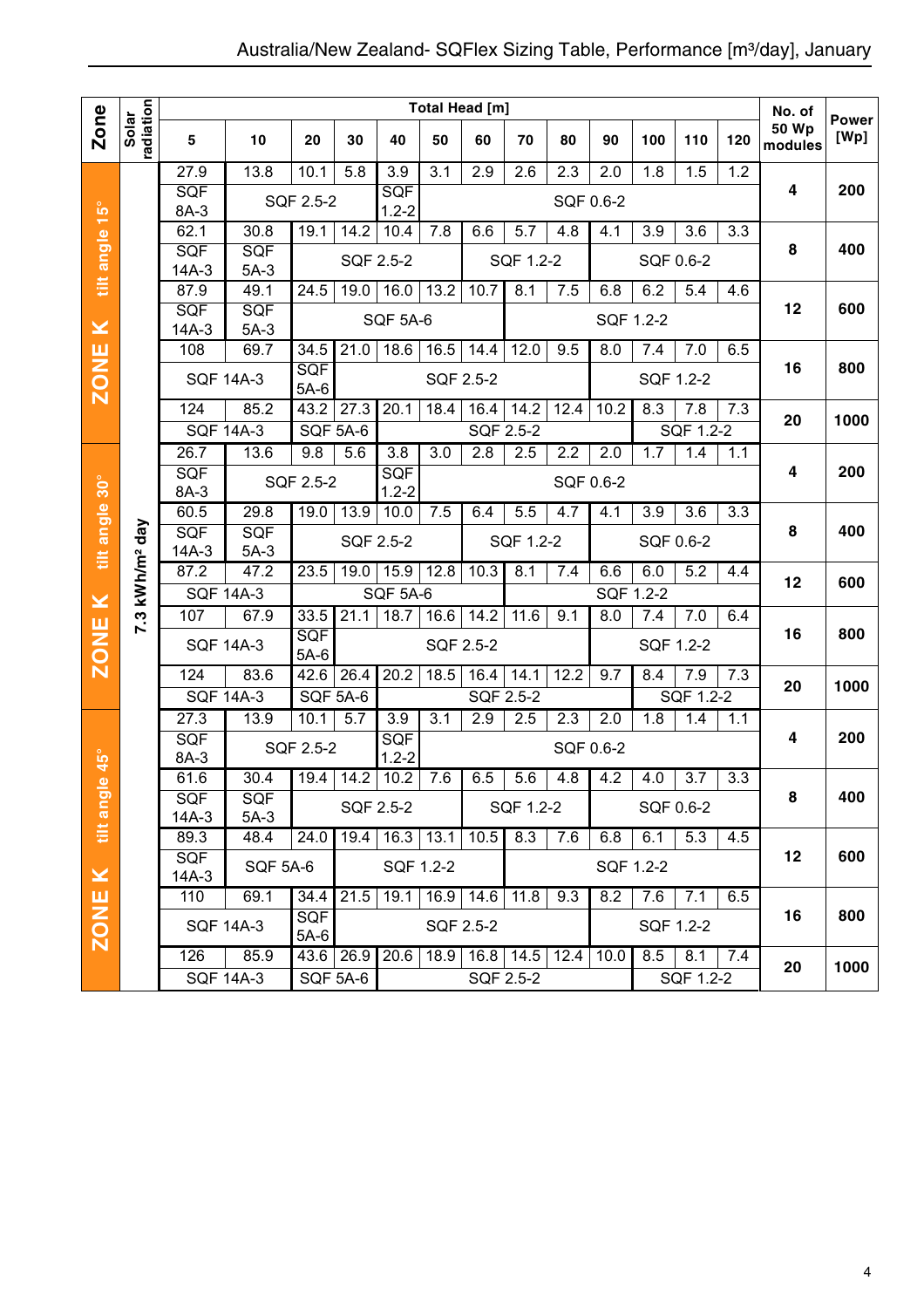|                         |                           |                    |                  |                      |                  |                   |                  | <b>Total Head [m]</b> |           |                  |                  |           |                  |     | No. of                  |                      |
|-------------------------|---------------------------|--------------------|------------------|----------------------|------------------|-------------------|------------------|-----------------------|-----------|------------------|------------------|-----------|------------------|-----|-------------------------|----------------------|
| Zone                    | radiation<br>Solar        | 5                  | 10               | 20                   | 30               | 40                | 50               | 60                    | 70        | 80               | 90               | 100       | 110              | 120 | <b>50 Wp</b><br>modules | <b>Power</b><br>[Wp] |
|                         |                           | 27.9               | 13.8             | 10.1                 | 5.8              | 3.9               | 3.1              | 2.9                   | 2.6       | 2.3              | 2.0              | 1.8       | 1.5              | 1.2 |                         |                      |
|                         |                           | SQF<br>8A-3        |                  | SQF 2.5-2            |                  | SQF<br>$1.2 - 2$  |                  |                       |           | SQF 0.6-2        |                  |           |                  |     | 4                       | 200                  |
| $15^{\circ}$            |                           | 62.1               | 30.8             | 19.1                 | 14.2             | 10.4              | 7.8              | 6.6                   | 5.7       | 4.8              | 4.1              | 3.9       | 3.6              | 3.3 |                         |                      |
| tilt angle              |                           | SQF                | SQF              |                      | SQF 2.5-2        |                   |                  |                       | SQF 1.2-2 |                  |                  |           | SQF 0.6-2        |     | 8                       | 400                  |
|                         |                           | $14A-3$            | $5A-3$           |                      |                  |                   |                  |                       |           |                  |                  |           |                  |     |                         |                      |
|                         |                           | 87.9               | 49.1             | 24.5                 | 19.0             | 16.0              | 13.2             | 10.7                  | 8.1       | 7.5              | 6.8              | 6.2       | 5.4              | 4.6 | 12                      | 600                  |
| $\geq$                  |                           | SQF<br>$14A-3$     | SQF<br>$5A-3$    |                      |                  | <b>SQF 5A-6</b>   |                  |                       |           |                  | SQF 1.2-2        |           |                  |     |                         |                      |
|                         |                           | 108                | 69.7             | 34.5                 | 21.0             | 18.6              | 16.5             | 14.4                  | 12.0      | 9.5              | 8.0              | 7.4       | 7.0              | 6.5 |                         |                      |
| <b>ZONE</b>             |                           | <b>SQF 14A-3</b>   |                  | SQF                  |                  |                   |                  | <b>SQF 2.5-2</b>      |           |                  |                  |           | SQF 1.2-2        |     | 16                      | 800                  |
|                         |                           | 124                | 85.2             | $5A-6$<br>43.2       | 27.3             | 20.1              | 18.4             | 16.4                  | 14.2      | 12.4             |                  | 8.3       |                  |     |                         |                      |
|                         |                           | <b>SQF 14A-3</b>   |                  | <b>SQF 5A-6</b>      |                  |                   |                  | SQF 2.5-2             |           |                  | 10.2             |           | 7.8<br>SQF 1.2-2 | 7.3 | 20                      | 1000                 |
|                         |                           | 26.7               | 13.6             | 9.8                  | 5.6              | $\overline{3.8}$  | $\overline{3.0}$ | $\overline{2.8}$      | 2.5       | $\overline{2.2}$ | $\overline{2.0}$ | 1.7       | 1.4              | 1.1 |                         |                      |
| tilt angle 30°          | day<br>kWh/m <sup>2</sup> | <b>SQF</b>         |                  | SQF 2.5-2            |                  | SQF<br>SQF 0.6-2  |                  |                       |           |                  |                  |           |                  |     | 4                       | 200                  |
|                         |                           | 8A-3               |                  |                      |                  | $1.2 - 2$         |                  |                       |           |                  |                  |           |                  |     |                         |                      |
|                         |                           | 60.5<br>SQF        | 29.8             | 19.0                 | 13.9             | 10.0              | 7.5              | 6.4                   | 5.5       | 4.7              | 4.1              | 3.9       | 3.6              | 3.3 | 8                       | 400                  |
|                         |                           | $14A-3$            | SQF<br>$5A-3$    |                      | SQF 2.5-2        |                   |                  |                       | SQF 1.2-2 |                  |                  |           | SQF 0.6-2        |     |                         |                      |
|                         |                           | 87.2               | 47.2             | 23.5                 | 19.0             | 15.9              | 12.8             | 10.3                  | 8.1       | 7.4              | 6.6              | 6.0       | 5.2              | 4.4 | 12                      | 600                  |
| $\geq$                  |                           | <b>SQF 14A-3</b>   |                  |                      |                  | SQF 5A-6          |                  |                       |           | SQF 1.2-2        |                  |           |                  |     |                         |                      |
|                         | 7.3                       | 107                | 67.9             | 33.5                 | 21.1             | 18.7              | 16.6             | 14.2                  | 11.6      | 9.1              | 8.0              | 7.4       | 7.0              | 6.4 |                         |                      |
| <b>ZONE</b>             |                           | <b>SQF 14A-3</b>   |                  | SQF<br>$5A-6$        | <b>SQF 2.5-2</b> |                   |                  |                       |           |                  |                  | SQF 1.2-2 |                  | 16  | 800                     |                      |
|                         |                           | 124                | 83.6             | 42.6                 | 26.4             | 20.2              | 18.5             | 16.4                  | 14.1      | 12.2             | 9.7              | 8.4       | 7.9              | 7.3 |                         |                      |
|                         |                           | <b>SQF 14A-3</b>   |                  | <b>SQF 5A-6</b>      |                  |                   |                  |                       | SQF 2.5-2 |                  |                  |           | SQF 1.2-2        |     | 20                      | 1000                 |
|                         |                           | 27.3               | 13.9             | 10.1                 | 5.7              | 3.9               | $\overline{3.1}$ | 2.9                   | 2.5       | 2.3              | 2.0              | 1.8       | 1.4              | 1.1 |                         |                      |
| $\overline{45}^{\circ}$ |                           | SQF<br>8A-3        |                  | SQF 2.5-2            |                  | SQF<br>$1.2 - 2$  |                  |                       |           | SQF 0.6-2        |                  |           |                  |     | 4                       | 200                  |
| $\pmb{\omega}$          |                           | 61.6               | 30.4             | 19.4                 | 14.2             | 10.2              | 7.6              | 6.5                   | 5.6       | 4.8              | 4.2              | 4.0       | 3.7              | 3.3 |                         |                      |
|                         |                           | <b>SQF</b>         | SQF              |                      |                  | SQF 2.5-2         |                  |                       | SQF 1.2-2 |                  |                  |           | SQF 0.6-2        |     | 8                       | 400                  |
| tilt ang                |                           | $14A-3$            | $5A-3$           |                      |                  |                   |                  |                       |           |                  |                  |           |                  |     |                         |                      |
|                         |                           | 89.3<br><b>SQF</b> | 48.4             | 24.0                 | 19.4             | $\overline{16.3}$ | 13.1             | 10.5                  | 8.3       | 7.6              | 6.8              | 6.1       | 5.3              | 4.5 | 12                      | 600                  |
| $\pmb{\times}$          |                           | 14A-3              | <b>SQF 5A-6</b>  |                      |                  | SQF 1.2-2         |                  |                       |           |                  | SQF 1.2-2        |           |                  |     |                         |                      |
|                         |                           | 110                | 69.1             | 34.4                 | 21.5             | 19.1              | $16.9$ 14.6      |                       | 11.8      | 9.3              | 8.2              | 7.6       | 7.1              | 6.5 |                         |                      |
| <b>ZONE</b>             |                           |                    | <b>SQF 14A-3</b> | <b>SQF</b><br>$5A-6$ |                  |                   | SQF 2.5-2        |                       |           |                  |                  |           | SQF 1.2-2        |     | 16                      | 800                  |
|                         |                           | 126                | 85.9             | 43.6 26.9            |                  | 20.6              | 18.9             | $16.8$ 14.5           |           | 12.4             | 10.0             | 8.5       | 8.1              | 7.4 |                         |                      |
|                         |                           | <b>SQF 14A-3</b>   |                  |                      | SQF 5A-6         |                   |                  | SQF 2.5-2             |           |                  |                  |           | SQF 1.2-2        |     | 20                      | 1000                 |